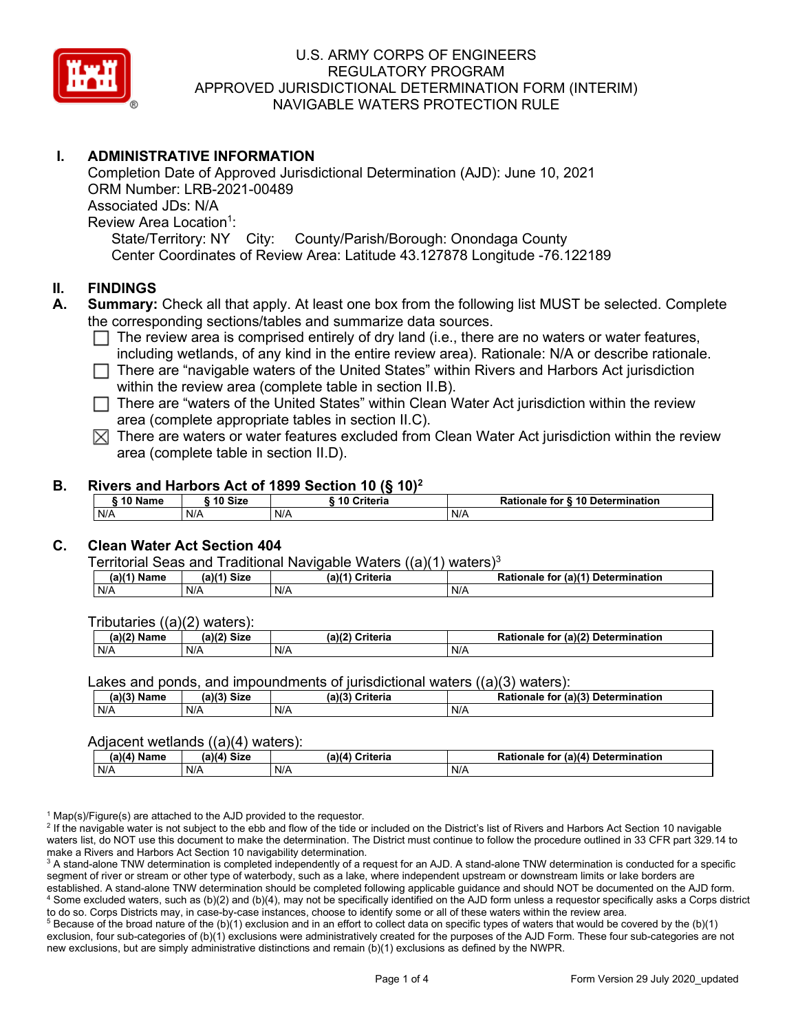

# **I. ADMINISTRATIVE INFORMATION**

Completion Date of Approved Jurisdictional Determination (AJD): June 10, 2021 ORM Number: LRB-2021-00489 Associated JDs: N/A Review Area Location<sup>1</sup>: State/Territory: NY City: County/Parish/Borough: Onondaga County Center Coordinates of Review Area: Latitude 43.127878 Longitude -76.122189

### **II. FINDINGS**

- **A. Summary:** Check all that apply. At least one box from the following list MUST be selected. Complete the corresponding sections/tables and summarize data sources.
	- $\Box$  The review area is comprised entirely of dry land (i.e., there are no waters or water features, including wetlands, of any kind in the entire review area). Rationale: N/A or describe rationale.
	- $\Box$  There are "navigable waters of the United States" within Rivers and Harbors Act jurisdiction within the review area (complete table in section II.B).
	- $\Box$  There are "waters of the United States" within Clean Water Act jurisdiction within the review area (complete appropriate tables in section II.C).
	- $\boxtimes$  There are waters or water features excluded from Clean Water Act jurisdiction within the review area (complete table in section II.D).

#### **B. Rivers and Harbors Act of 1899 Section 10 (§ 10)2**

|     | ົ 10 Name |     | ົ 10 Size | Criteria<br>. 1 U |     | Rationale for § 10 Determination |  |  |  |
|-----|-----------|-----|-----------|-------------------|-----|----------------------------------|--|--|--|
| N/A |           | N/A |           | N/A               | N/A |                                  |  |  |  |

# **C. Clean Water Act Section 404**

Territorial Seas and Traditional Navigable Waters  $((a)(1)$  waters)<sup>3</sup>

| $(a)(1)$ .<br>Name | $(a)$ $(4)$<br>Size | (a)<br>Criteria | (a)(1) Determination<br>Rationale<br>for |
|--------------------|---------------------|-----------------|------------------------------------------|
| N/A                | N/A                 | N/A             | N/A                                      |

Tributaries ((a)(2) waters):

| $1001$ $F_{\rm{H}}$<br>Name | $\sim$ 1/2<br>- 01-4<br>oizu | (a)(2)<br>Nuite aig<br>пе | $\mathcal{L}$<br>. Determination<br>TO |
|-----------------------------|------------------------------|---------------------------|----------------------------------------|
| N/A                         | N/A                          | .<br>N/A                  | N/A                                    |

Lakes and ponds, and impoundments of jurisdictional waters ((a)(3) waters):

| (a)(3) Name | $(a)(3)$ Size | (a)(2) | Criteria | De <sup>4</sup><br>tional<br>tor<br>naie | $\mu$ or (a) <sup>(2)</sup><br><b>Determination</b> |
|-------------|---------------|--------|----------|------------------------------------------|-----------------------------------------------------|
| N/A         | N/A           | N/A    |          | N/A                                      |                                                     |

#### Adjacent wetlands ((a)(4) waters):

| $(a)(4)$ Name | (a)(4) Size | .<br>(a)(4) Criteria | Rationale for (a)(4) Determination |  |  |
|---------------|-------------|----------------------|------------------------------------|--|--|
| N/A           | N/f         | N/A                  | N/A                                |  |  |

 $1$  Map(s)/Figure(s) are attached to the AJD provided to the requestor.

<sup>2</sup> If the navigable water is not subject to the ebb and flow of the tide or included on the District's list of Rivers and Harbors Act Section 10 navigable waters list, do NOT use this document to make the determination. The District must continue to follow the procedure outlined in 33 CFR part 329.14 to make a Rivers and Harbors Act Section 10 navigability determination.

<sup>3</sup> A stand-alone TNW determination is completed independently of a request for an AJD. A stand-alone TNW determination is conducted for a specific segment of river or stream or other type of waterbody, such as a lake, where independent upstream or downstream limits or lake borders are established. A stand-alone TNW determination should be completed following applicable guidance and should NOT be documented on the AJD form. <sup>4</sup> Some excluded waters, such as (b)(2) and (b)(4), may not be specifically identified on the AJD form unless a requestor specifically asks a Corps district to do so. Corps Districts may, in case-by-case instances, choose to identify some or all of these waters within the review area.

 $5$  Because of the broad nature of the (b)(1) exclusion and in an effort to collect data on specific types of waters that would be covered by the (b)(1) exclusion, four sub-categories of (b)(1) exclusions were administratively created for the purposes of the AJD Form. These four sub-categories are not new exclusions, but are simply administrative distinctions and remain (b)(1) exclusions as defined by the NWPR.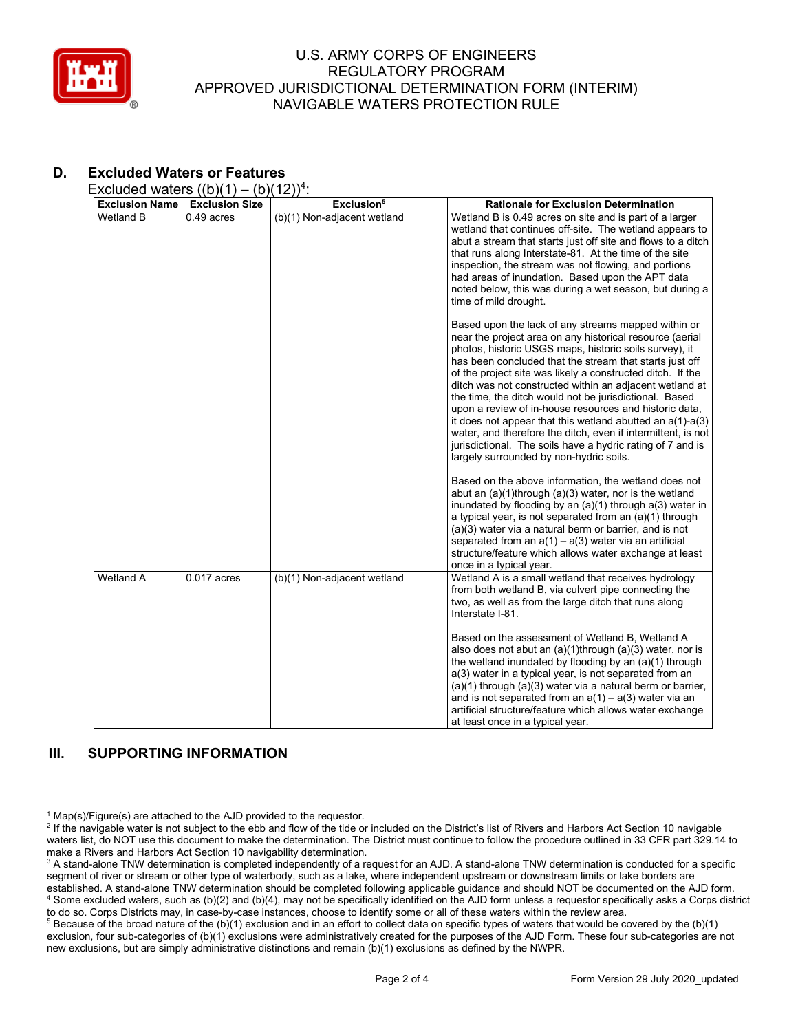

# **D. Excluded Waters or Features**

Excluded waters  $((b)(1) - (b)(12))^4$ :

| <b>Exclusion Name</b> | <b>Exclusion Size</b> | Exclusion <sup>5</sup>      | <b>Rationale for Exclusion Determination</b>                                                                                                                                                                                                                                                                                                                                                                                                                                                                                                                                                                                                                                                                                                                                                                                                                                                                                                                                                                                            |
|-----------------------|-----------------------|-----------------------------|-----------------------------------------------------------------------------------------------------------------------------------------------------------------------------------------------------------------------------------------------------------------------------------------------------------------------------------------------------------------------------------------------------------------------------------------------------------------------------------------------------------------------------------------------------------------------------------------------------------------------------------------------------------------------------------------------------------------------------------------------------------------------------------------------------------------------------------------------------------------------------------------------------------------------------------------------------------------------------------------------------------------------------------------|
| Wetland B             | $0.49$ acres          | (b)(1) Non-adjacent wetland | Wetland B is 0.49 acres on site and is part of a larger                                                                                                                                                                                                                                                                                                                                                                                                                                                                                                                                                                                                                                                                                                                                                                                                                                                                                                                                                                                 |
|                       |                       |                             | wetland that continues off-site. The wetland appears to<br>abut a stream that starts just off site and flows to a ditch<br>that runs along Interstate-81. At the time of the site<br>inspection, the stream was not flowing, and portions<br>had areas of inundation. Based upon the APT data<br>noted below, this was during a wet season, but during a<br>time of mild drought.                                                                                                                                                                                                                                                                                                                                                                                                                                                                                                                                                                                                                                                       |
|                       |                       |                             | Based upon the lack of any streams mapped within or<br>near the project area on any historical resource (aerial<br>photos, historic USGS maps, historic soils survey), it<br>has been concluded that the stream that starts just off<br>of the project site was likely a constructed ditch. If the<br>ditch was not constructed within an adjacent wetland at<br>the time, the ditch would not be jurisdictional. Based<br>upon a review of in-house resources and historic data,<br>it does not appear that this wetland abutted an $a(1)-a(3)$<br>water, and therefore the ditch, even if intermittent, is not<br>jurisdictional. The soils have a hydric rating of 7 and is<br>largely surrounded by non-hydric soils.<br>Based on the above information, the wetland does not<br>abut an $(a)(1)$ through $(a)(3)$ water, nor is the wetland<br>inundated by flooding by an $(a)(1)$ through $a(3)$ water in<br>a typical year, is not separated from an (a)(1) through<br>$(a)(3)$ water via a natural berm or barrier, and is not |
|                       |                       |                             | separated from an $a(1) - a(3)$ water via an artificial<br>structure/feature which allows water exchange at least<br>once in a typical year.                                                                                                                                                                                                                                                                                                                                                                                                                                                                                                                                                                                                                                                                                                                                                                                                                                                                                            |
| <b>Wetland A</b>      | $0.017$ acres         | (b)(1) Non-adjacent wetland | Wetland A is a small wetland that receives hydrology<br>from both wetland B, via culvert pipe connecting the<br>two, as well as from the large ditch that runs along<br>Interstate I-81.                                                                                                                                                                                                                                                                                                                                                                                                                                                                                                                                                                                                                                                                                                                                                                                                                                                |
|                       |                       |                             | Based on the assessment of Wetland B, Wetland A<br>also does not abut an (a)(1)through (a)(3) water, nor is<br>the wetland inundated by flooding by an (a)(1) through<br>a(3) water in a typical year, is not separated from an<br>(a)(1) through (a)(3) water via a natural berm or barrier,<br>and is not separated from an $a(1) - a(3)$ water via an<br>artificial structure/feature which allows water exchange<br>at least once in a typical year.                                                                                                                                                                                                                                                                                                                                                                                                                                                                                                                                                                                |

# **III. SUPPORTING INFORMATION**

 $1$  Map(s)/Figure(s) are attached to the AJD provided to the requestor.

<sup>2</sup> If the navigable water is not subject to the ebb and flow of the tide or included on the District's list of Rivers and Harbors Act Section 10 navigable waters list, do NOT use this document to make the determination. The District must continue to follow the procedure outlined in 33 CFR part 329.14 to make a Rivers and Harbors Act Section 10 navigability determination.

<sup>3</sup> A stand-alone TNW determination is completed independently of a request for an AJD. A stand-alone TNW determination is conducted for a specific segment of river or stream or other type of waterbody, such as a lake, where independent upstream or downstream limits or lake borders are established. A stand-alone TNW determination should be completed following applicable guidance and should NOT be documented on the AJD form. <sup>4</sup> Some excluded waters, such as (b)(2) and (b)(4), may not be specifically identified on the AJD form unless a requestor specifically asks a Corps district to do so. Corps Districts may, in case-by-case instances, choose to identify some or all of these waters within the review area.

<sup>5</sup> Because of the broad nature of the (b)(1) exclusion and in an effort to collect data on specific types of waters that would be covered by the (b)(1) exclusion, four sub-categories of (b)(1) exclusions were administratively created for the purposes of the AJD Form. These four sub-categories are not new exclusions, but are simply administrative distinctions and remain (b)(1) exclusions as defined by the NWPR.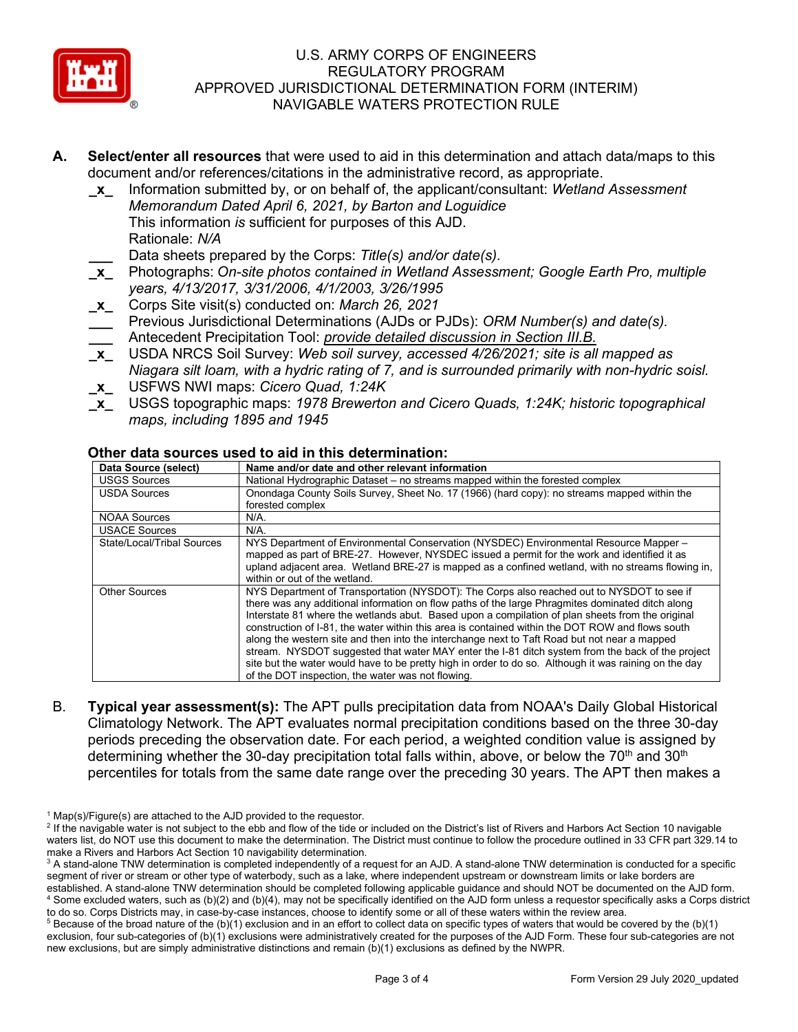

- **A. Select/enter all resources** that were used to aid in this determination and attach data/maps to this document and/or references/citations in the administrative record, as appropriate.
	- **\_x\_** Information submitted by, or on behalf of, the applicant/consultant: *Wetland Assessment Memorandum Dated April 6, 2021, by Barton and Loguidice* This information *is* sufficient for purposes of this AJD. Rationale: *N/A*

**\_\_\_** Data sheets prepared by the Corps: *Title(s) and/or date(s).*

- **\_x\_** Photographs: *On-site photos contained in Wetland Assessment; Google Earth Pro, multiple years, 4/13/2017, 3/31/2006, 4/1/2003, 3/26/1995*
- **\_x\_** Corps Site visit(s) conducted on: *March 26, 2021*
- **\_\_\_** Previous Jurisdictional Determinations (AJDs or PJDs): *ORM Number(s) and date(s).* **\_\_\_** Antecedent Precipitation Tool: *provide detailed discussion in Section III.B.*
- **\_x\_** USDA NRCS Soil Survey: *Web soil survey, accessed 4/26/2021; site is all mapped as Niagara silt loam, with a hydric rating of 7, and is surrounded primarily with non-hydric soisl.*
- **\_x\_** USFWS NWI maps: *Cicero Quad, 1:24K*
- **\_x\_** USGS topographic maps: *1978 Brewerton and Cicero Quads, 1:24K; historic topographical maps, including 1895 and 1945*

| Data Source (select)       | Name and/or date and other relevant information                                                                                                                                                                                                                                                                                                                                                                                                                                                                                                                                                                                                                                                                                                                         |
|----------------------------|-------------------------------------------------------------------------------------------------------------------------------------------------------------------------------------------------------------------------------------------------------------------------------------------------------------------------------------------------------------------------------------------------------------------------------------------------------------------------------------------------------------------------------------------------------------------------------------------------------------------------------------------------------------------------------------------------------------------------------------------------------------------------|
| <b>USGS Sources</b>        | National Hydrographic Dataset – no streams mapped within the forested complex                                                                                                                                                                                                                                                                                                                                                                                                                                                                                                                                                                                                                                                                                           |
| <b>USDA Sources</b>        | Onondaga County Soils Survey, Sheet No. 17 (1966) (hard copy): no streams mapped within the<br>forested complex                                                                                                                                                                                                                                                                                                                                                                                                                                                                                                                                                                                                                                                         |
| <b>NOAA Sources</b>        | N/A.                                                                                                                                                                                                                                                                                                                                                                                                                                                                                                                                                                                                                                                                                                                                                                    |
| <b>USACE Sources</b>       | N/A.                                                                                                                                                                                                                                                                                                                                                                                                                                                                                                                                                                                                                                                                                                                                                                    |
| State/Local/Tribal Sources | NYS Department of Environmental Conservation (NYSDEC) Environmental Resource Mapper -<br>mapped as part of BRE-27. However, NYSDEC issued a permit for the work and identified it as<br>upland adjacent area. Wetland BRE-27 is mapped as a confined wetland, with no streams flowing in,<br>within or out of the wetland.                                                                                                                                                                                                                                                                                                                                                                                                                                              |
| <b>Other Sources</b>       | NYS Department of Transportation (NYSDOT): The Corps also reached out to NYSDOT to see if<br>there was any additional information on flow paths of the large Phragmites dominated ditch along<br>Interstate 81 where the wetlands abut. Based upon a compilation of plan sheets from the original<br>construction of I-81, the water within this area is contained within the DOT ROW and flows south<br>along the western site and then into the interchange next to Taft Road but not near a mapped<br>stream. NYSDOT suggested that water MAY enter the I-81 ditch system from the back of the project<br>site but the water would have to be pretty high in order to do so. Although it was raining on the day<br>of the DOT inspection, the water was not flowing. |

### **Other data sources used to aid in this determination:**

B. **Typical year assessment(s):** The APT pulls precipitation data from NOAA's Daily Global Historical Climatology Network. The APT evaluates normal precipitation conditions based on the three 30-day periods preceding the observation date. For each period, a weighted condition value is assigned by determining whether the 30-day precipitation total falls within, above, or below the 70<sup>th</sup> and 30<sup>th</sup> percentiles for totals from the same date range over the preceding 30 years. The APT then makes a

 $1$  Map(s)/Figure(s) are attached to the AJD provided to the requestor.

<sup>&</sup>lt;sup>2</sup> If the navigable water is not subject to the ebb and flow of the tide or included on the District's list of Rivers and Harbors Act Section 10 navigable waters list, do NOT use this document to make the determination. The District must continue to follow the procedure outlined in 33 CFR part 329.14 to make a Rivers and Harbors Act Section 10 navigability determination.

<sup>&</sup>lt;sup>3</sup> A stand-alone TNW determination is completed independently of a request for an AJD. A stand-alone TNW determination is conducted for a specific segment of river or stream or other type of waterbody, such as a lake, where independent upstream or downstream limits or lake borders are established. A stand-alone TNW determination should be completed following applicable guidance and should NOT be documented on the AJD form. <sup>4</sup> Some excluded waters, such as (b)(2) and (b)(4), may not be specifically identified on the AJD form unless a requestor specifically asks a Corps district to do so. Corps Districts may, in case-by-case instances, choose to identify some or all of these waters within the review area.

 $5$  Because of the broad nature of the (b)(1) exclusion and in an effort to collect data on specific types of waters that would be covered by the (b)(1) exclusion, four sub-categories of (b)(1) exclusions were administratively created for the purposes of the AJD Form. These four sub-categories are not new exclusions, but are simply administrative distinctions and remain (b)(1) exclusions as defined by the NWPR.